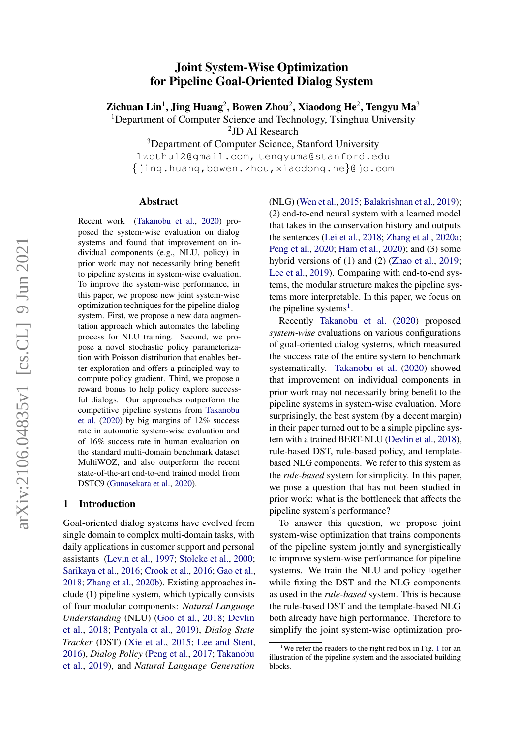# $arXiv:2106.04835v1$  [cs.CL] 9 Jun 2021 arXiv:2106.04835v1 [cs.CL] 9 Jun 2021

# Joint System-Wise Optimization for Pipeline Goal-Oriented Dialog System

Zichuan Lin $^1$ , Jing Huang $^2$ , Bowen Zhou $^2$ , Xiaodong He $^2$ , Tengyu Ma $^3$ 

<sup>1</sup>Department of Computer Science and Technology, Tsinghua University

2 JD AI Research

<sup>3</sup>Department of Computer Science, Stanford University

lzcthu12@gmail.com, tengyuma@stanford.edu {jing.huang,bowen.zhou,xiaodong.he}@jd.com

#### Abstract

Recent work [\(Takanobu et al.,](#page-9-0) [2020\)](#page-9-0) proposed the system-wise evaluation on dialog systems and found that improvement on individual components (e.g., NLU, policy) in prior work may not necessarily bring benefit to pipeline systems in system-wise evaluation. To improve the system-wise performance, in this paper, we propose new joint system-wise optimization techniques for the pipeline dialog system. First, we propose a new data augmentation approach which automates the labeling process for NLU training. Second, we propose a novel stochastic policy parameterization with Poisson distribution that enables better exploration and offers a principled way to compute policy gradient. Third, we propose a reward bonus to help policy explore successful dialogs. Our approaches outperform the competitive pipeline systems from [Takanobu](#page-9-0) [et al.](#page-9-0) [\(2020\)](#page-9-0) by big margins of 12% success rate in automatic system-wise evaluation and of 16% success rate in human evaluation on the standard multi-domain benchmark dataset MultiWOZ, and also outperform the recent state-of-the-art end-to-end trained model from DSTC9 [\(Gunasekara et al.,](#page-8-0) [2020\)](#page-8-0).

# 1 Introduction

Goal-oriented dialog systems have evolved from single domain to complex multi-domain tasks, with daily applications in customer support and personal assistants [\(Levin et al.,](#page-8-1) [1997;](#page-8-1) [Stolcke et al.,](#page-9-1) [2000;](#page-9-1) [Sarikaya et al.,](#page-9-2) [2016;](#page-9-2) [Crook et al.,](#page-8-2) [2016;](#page-8-2) [Gao et al.,](#page-8-3) [2018;](#page-8-3) [Zhang et al.,](#page-9-3) [2020b\)](#page-9-3). Existing approaches include (1) pipeline system, which typically consists of four modular components: *Natural Language Understanding* (NLU) [\(Goo et al.,](#page-8-4) [2018;](#page-8-4) [Devlin](#page-8-5) [et al.,](#page-8-5) [2018;](#page-8-5) [Pentyala et al.,](#page-9-4) [2019\)](#page-9-4), *Dialog State Tracker* (DST) [\(Xie et al.,](#page-9-5) [2015;](#page-9-5) [Lee and Stent,](#page-8-6) [2016\)](#page-8-6), *Dialog Policy* [\(Peng et al.,](#page-9-6) [2017;](#page-9-6) [Takanobu](#page-9-7) [et al.,](#page-9-7) [2019\)](#page-9-7), and *Natural Language Generation*

(NLG) [\(Wen et al.,](#page-9-8) [2015;](#page-9-8) [Balakrishnan et al.,](#page-8-7) [2019\)](#page-8-7); (2) end-to-end neural system with a learned model that takes in the conservation history and outputs the sentences [\(Lei et al.,](#page-8-8) [2018;](#page-8-8) [Zhang et al.,](#page-9-9) [2020a;](#page-9-9) [Peng et al.,](#page-9-10) [2020;](#page-9-10) [Ham et al.,](#page-8-9) [2020\)](#page-8-9); and (3) some hybrid versions of (1) and (2) [\(Zhao et al.,](#page-10-0) [2019;](#page-10-0) [Lee et al.,](#page-8-10) [2019\)](#page-8-10). Comparing with end-to-end systems, the modular structure makes the pipeline systems more interpretable. In this paper, we focus on the pipeline systems<sup>[1](#page-0-0)</sup>.

Recently [Takanobu et al.](#page-9-0) [\(2020\)](#page-9-0) proposed *system-wise* evaluations on various configurations of goal-oriented dialog systems, which measured the success rate of the entire system to benchmark systematically. [Takanobu et al.](#page-9-0) [\(2020\)](#page-9-0) showed that improvement on individual components in prior work may not necessarily bring benefit to the pipeline systems in system-wise evaluation. More surprisingly, the best system (by a decent margin) in their paper turned out to be a simple pipeline system with a trained BERT-NLU [\(Devlin et al.,](#page-8-5) [2018\)](#page-8-5), rule-based DST, rule-based policy, and templatebased NLG components. We refer to this system as the *rule-based* system for simplicity. In this paper, we pose a question that has not been studied in prior work: what is the bottleneck that affects the pipeline system's performance?

To answer this question, we propose joint system-wise optimization that trains components of the pipeline system jointly and synergistically to improve system-wise performance for pipeline systems. We train the NLU and policy together while fixing the DST and the NLG components as used in the *rule-based* system. This is because the rule-based DST and the template-based NLG both already have high performance. Therefore to simplify the joint system-wise optimization pro-

<span id="page-0-0"></span><sup>&</sup>lt;sup>[1](#page-1-0)</sup>We refer the readers to the right red box in Fig. 1 for an illustration of the pipeline system and the associated building blocks.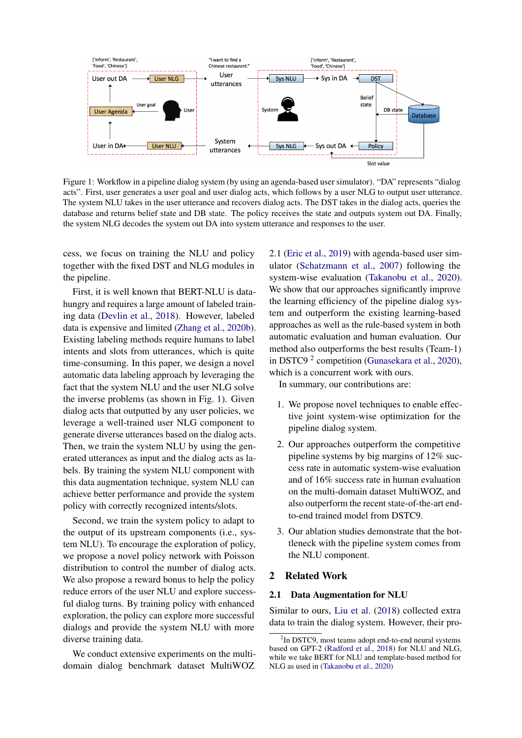<span id="page-1-0"></span>

Figure 1: Workflow in a pipeline dialog system (by using an agenda-based user simulator). "DA" represents "dialog acts". First, user generates a user goal and user dialog acts, which follows by a user NLG to output user utterance. The system NLU takes in the user utterance and recovers dialog acts. The DST takes in the dialog acts, queries the database and returns belief state and DB state. The policy receives the state and outputs system out DA. Finally, the system NLG decodes the system out DA into system utterance and responses to the user.

cess, we focus on training the NLU and policy together with the fixed DST and NLG modules in the pipeline.

First, it is well known that BERT-NLU is datahungry and requires a large amount of labeled training data [\(Devlin et al.,](#page-8-5) [2018\)](#page-8-5). However, labeled data is expensive and limited [\(Zhang et al.,](#page-9-3) [2020b\)](#page-9-3). Existing labeling methods require humans to label intents and slots from utterances, which is quite time-consuming. In this paper, we design a novel automatic data labeling approach by leveraging the fact that the system NLU and the user NLG solve the inverse problems (as shown in Fig. [1\)](#page-1-0). Given dialog acts that outputted by any user policies, we leverage a well-trained user NLG component to generate diverse utterances based on the dialog acts. Then, we train the system NLU by using the generated utterances as input and the dialog acts as labels. By training the system NLU component with this data augmentation technique, system NLU can achieve better performance and provide the system policy with correctly recognized intents/slots.

Second, we train the system policy to adapt to the output of its upstream components (i.e., system NLU). To encourage the exploration of policy, we propose a novel policy network with Poisson distribution to control the number of dialog acts. We also propose a reward bonus to help the policy reduce errors of the user NLU and explore successful dialog turns. By training policy with enhanced exploration, the policy can explore more successful dialogs and provide the system NLU with more diverse training data.

We conduct extensive experiments on the multidomain dialog benchmark dataset MultiWOZ

2.1 [\(Eric et al.,](#page-8-11) [2019\)](#page-8-11) with agenda-based user simulator [\(Schatzmann et al.,](#page-9-11) [2007\)](#page-9-11) following the system-wise evaluation [\(Takanobu et al.,](#page-9-0) [2020\)](#page-9-0). We show that our approaches significantly improve the learning efficiency of the pipeline dialog system and outperform the existing learning-based approaches as well as the rule-based system in both automatic evaluation and human evaluation. Our method also outperforms the best results (Team-1) in DSTC9<sup>[2](#page-1-1)</sup> competition [\(Gunasekara et al.,](#page-8-0) [2020\)](#page-8-0), which is a concurrent work with ours.

In summary, our contributions are:

- 1. We propose novel techniques to enable effective joint system-wise optimization for the pipeline dialog system.
- 2. Our approaches outperform the competitive pipeline systems by big margins of 12% success rate in automatic system-wise evaluation and of 16% success rate in human evaluation on the multi-domain dataset MultiWOZ, and also outperform the recent state-of-the-art endto-end trained model from DSTC9.
- 3. Our ablation studies demonstrate that the bottleneck with the pipeline system comes from the NLU component.

### 2 Related Work

#### 2.1 Data Augmentation for NLU

Similar to ours, [Liu et al.](#page-8-12) [\(2018\)](#page-8-12) collected extra data to train the dialog system. However, their pro-

<span id="page-1-1"></span><sup>&</sup>lt;sup>2</sup>In DSTC9, most teams adopt end-to-end neural systems based on GPT-2 [\(Radford et al.,](#page-9-12) [2018\)](#page-9-12) for NLU and NLG, while we take BERT for NLU and template-based method for NLG as used in [\(Takanobu et al.,](#page-9-0) [2020\)](#page-9-0)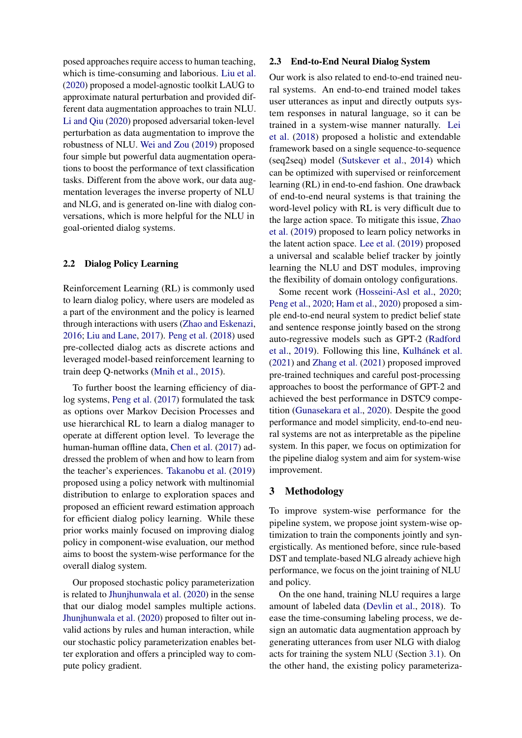posed approaches require access to human teaching, which is time-consuming and laborious. [Liu et al.](#page-9-13) [\(2020\)](#page-9-13) proposed a model-agnostic toolkit LAUG to approximate natural perturbation and provided different data augmentation approaches to train NLU. [Li and Qiu](#page-8-13) [\(2020\)](#page-8-13) proposed adversarial token-level perturbation as data augmentation to improve the robustness of NLU. [Wei and Zou](#page-9-14) [\(2019\)](#page-9-14) proposed four simple but powerful data augmentation operations to boost the performance of text classification tasks. Different from the above work, our data augmentation leverages the inverse property of NLU and NLG, and is generated on-line with dialog conversations, which is more helpful for the NLU in goal-oriented dialog systems.

### 2.2 Dialog Policy Learning

Reinforcement Learning (RL) is commonly used to learn dialog policy, where users are modeled as a part of the environment and the policy is learned through interactions with users [\(Zhao and Eskenazi,](#page-9-15) [2016;](#page-9-15) [Liu and Lane,](#page-8-14) [2017\)](#page-8-14). [Peng et al.](#page-9-16) [\(2018\)](#page-9-16) used pre-collected dialog acts as discrete actions and leveraged model-based reinforcement learning to train deep Q-networks [\(Mnih et al.,](#page-9-17) [2015\)](#page-9-17).

To further boost the learning efficiency of dialog systems, [Peng et al.](#page-9-6) [\(2017\)](#page-9-6) formulated the task as options over Markov Decision Processes and use hierarchical RL to learn a dialog manager to operate at different option level. To leverage the human-human offline data, [Chen et al.](#page-8-15) [\(2017\)](#page-8-15) addressed the problem of when and how to learn from the teacher's experiences. [Takanobu et al.](#page-9-7) [\(2019\)](#page-9-7) proposed using a policy network with multinomial distribution to enlarge to exploration spaces and proposed an efficient reward estimation approach for efficient dialog policy learning. While these prior works mainly focused on improving dialog policy in component-wise evaluation, our method aims to boost the system-wise performance for the overall dialog system.

Our proposed stochastic policy parameterization is related to [Jhunjhunwala et al.](#page-8-16) [\(2020\)](#page-8-16) in the sense that our dialog model samples multiple actions. [Jhunjhunwala et al.](#page-8-16) [\(2020\)](#page-8-16) proposed to filter out invalid actions by rules and human interaction, while our stochastic policy parameterization enables better exploration and offers a principled way to compute policy gradient.

#### 2.3 End-to-End Neural Dialog System

Our work is also related to end-to-end trained neural systems. An end-to-end trained model takes user utterances as input and directly outputs system responses in natural language, so it can be trained in a system-wise manner naturally. [Lei](#page-8-8) [et al.](#page-8-8) [\(2018\)](#page-8-8) proposed a holistic and extendable framework based on a single sequence-to-sequence (seq2seq) model [\(Sutskever et al.,](#page-9-18) [2014\)](#page-9-18) which can be optimized with supervised or reinforcement learning (RL) in end-to-end fashion. One drawback of end-to-end neural systems is that training the word-level policy with RL is very difficult due to the large action space. To mitigate this issue, [Zhao](#page-10-0) [et al.](#page-10-0) [\(2019\)](#page-10-0) proposed to learn policy networks in the latent action space. [Lee et al.](#page-8-10) [\(2019\)](#page-8-10) proposed a universal and scalable belief tracker by jointly learning the NLU and DST modules, improving the flexibility of domain ontology configurations.

Some recent work [\(Hosseini-Asl et al.,](#page-8-17) [2020;](#page-8-17) [Peng et al.,](#page-9-10) [2020;](#page-9-10) [Ham et al.,](#page-8-9) [2020\)](#page-8-9) proposed a simple end-to-end neural system to predict belief state and sentence response jointly based on the strong auto-regressive models such as GPT-2 [\(Radford](#page-9-19) [et al.,](#page-9-19) [2019\)](#page-9-19). Following this line, Kulhánek et al. [\(2021\)](#page-8-18) and [Zhang et al.](#page-9-20) [\(2021\)](#page-9-20) proposed improved pre-trained techniques and careful post-processing approaches to boost the performance of GPT-2 and achieved the best performance in DSTC9 competition [\(Gunasekara et al.,](#page-8-0) [2020\)](#page-8-0). Despite the good performance and model simplicity, end-to-end neural systems are not as interpretable as the pipeline system. In this paper, we focus on optimization for the pipeline dialog system and aim for system-wise improvement.

#### 3 Methodology

To improve system-wise performance for the pipeline system, we propose joint system-wise optimization to train the components jointly and synergistically. As mentioned before, since rule-based DST and template-based NLG already achieve high performance, we focus on the joint training of NLU and policy.

On the one hand, training NLU requires a large amount of labeled data [\(Devlin et al.,](#page-8-5) [2018\)](#page-8-5). To ease the time-consuming labeling process, we design an automatic data augmentation approach by generating utterances from user NLG with dialog acts for training the system NLU (Section [3.1\)](#page-3-0). On the other hand, the existing policy parameteriza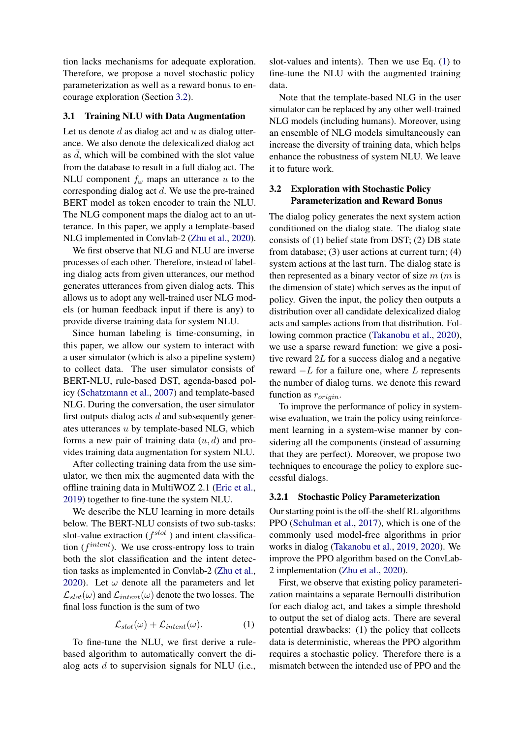tion lacks mechanisms for adequate exploration. Therefore, we propose a novel stochastic policy parameterization as well as a reward bonus to encourage exploration (Section [3.2\)](#page-3-1).

#### <span id="page-3-0"></span>3.1 Training NLU with Data Augmentation

Let us denote  $d$  as dialog act and  $u$  as dialog utterance. We also denote the delexicalized dialog act as  $d$ , which will be combined with the slot value from the database to result in a full dialog act. The NLU component  $f_{\omega}$  maps an utterance u to the corresponding dialog act d. We use the pre-trained BERT model as token encoder to train the NLU. The NLG component maps the dialog act to an utterance. In this paper, we apply a template-based NLG implemented in Convlab-2 [\(Zhu et al.,](#page-10-1) [2020\)](#page-10-1).

We first observe that NLG and NLU are inverse processes of each other. Therefore, instead of labeling dialog acts from given utterances, our method generates utterances from given dialog acts. This allows us to adopt any well-trained user NLG models (or human feedback input if there is any) to provide diverse training data for system NLU.

Since human labeling is time-consuming, in this paper, we allow our system to interact with a user simulator (which is also a pipeline system) to collect data. The user simulator consists of BERT-NLU, rule-based DST, agenda-based policy [\(Schatzmann et al.,](#page-9-11) [2007\)](#page-9-11) and template-based NLG. During the conversation, the user simulator first outputs dialog acts  $d$  and subsequently generates utterances u by template-based NLG, which forms a new pair of training data  $(u, d)$  and provides training data augmentation for system NLU.

After collecting training data from the use simulator, we then mix the augmented data with the offline training data in MultiWOZ 2.1 [\(Eric et al.,](#page-8-11) [2019\)](#page-8-11) together to fine-tune the system NLU.

We describe the NLU learning in more details below. The BERT-NLU consists of two sub-tasks: slot-value extraction ( $f^{slot}$ ) and intent classification  $(f<sup>intent</sup>)$ . We use cross-entropy loss to train both the slot classification and the intent detection tasks as implemented in Convlab-2 [\(Zhu et al.,](#page-10-1) [2020\)](#page-10-1). Let  $\omega$  denote all the parameters and let  $\mathcal{L}_{slot}(\omega)$  and  $\mathcal{L}_{intent}(\omega)$  denote the two losses. The final loss function is the sum of two

$$
\mathcal{L}_{slot}(\omega) + \mathcal{L}_{intent}(\omega). \tag{1}
$$

To fine-tune the NLU, we first derive a rulebased algorithm to automatically convert the dialog acts  $d$  to supervision signals for NLU (i.e., slot-values and intents). Then we use Eq. [\(1\)](#page-3-2) to fine-tune the NLU with the augmented training data.

Note that the template-based NLG in the user simulator can be replaced by any other well-trained NLG models (including humans). Moreover, using an ensemble of NLG models simultaneously can increase the diversity of training data, which helps enhance the robustness of system NLU. We leave it to future work.

# <span id="page-3-1"></span>3.2 Exploration with Stochastic Policy Parameterization and Reward Bonus

The dialog policy generates the next system action conditioned on the dialog state. The dialog state consists of (1) belief state from DST; (2) DB state from database; (3) user actions at current turn; (4) system actions at the last turn. The dialog state is then represented as a binary vector of size  $m$  ( $m$  is the dimension of state) which serves as the input of policy. Given the input, the policy then outputs a distribution over all candidate delexicalized dialog acts and samples actions from that distribution. Following common practice [\(Takanobu et al.,](#page-9-0) [2020\)](#page-9-0), we use a sparse reward function: we give a positive reward  $2L$  for a success dialog and a negative reward  $-L$  for a failure one, where L represents the number of dialog turns. we denote this reward function as  $r_{origin}$ .

To improve the performance of policy in systemwise evaluation, we train the policy using reinforcement learning in a system-wise manner by considering all the components (instead of assuming that they are perfect). Moreover, we propose two techniques to encourage the policy to explore successful dialogs.

#### 3.2.1 Stochastic Policy Parameterization

Our starting point is the off-the-shelf RL algorithms PPO [\(Schulman et al.,](#page-9-21) [2017\)](#page-9-21), which is one of the commonly used model-free algorithms in prior works in dialog [\(Takanobu et al.,](#page-9-7) [2019,](#page-9-7) [2020\)](#page-9-0). We improve the PPO algorithm based on the ConvLab-2 implementation [\(Zhu et al.,](#page-10-1) [2020\)](#page-10-1).

<span id="page-3-2"></span>First, we observe that existing policy parameterization maintains a separate Bernoulli distribution for each dialog act, and takes a simple threshold to output the set of dialog acts. There are several potential drawbacks: (1) the policy that collects data is deterministic, whereas the PPO algorithm requires a stochastic policy. Therefore there is a mismatch between the intended use of PPO and the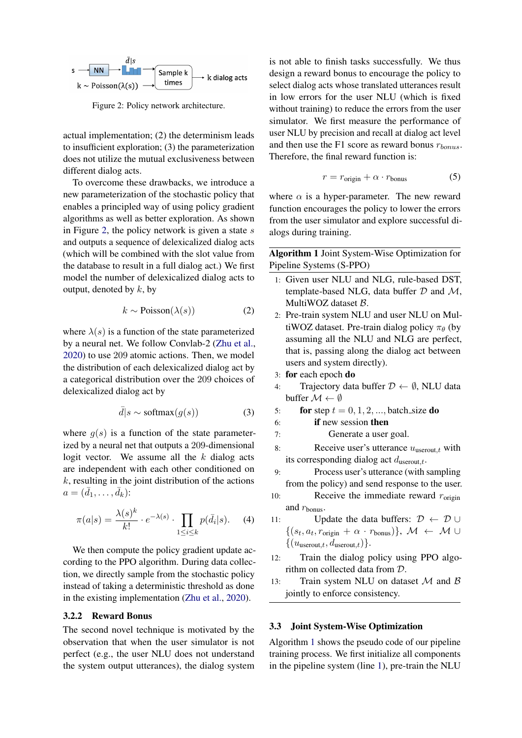<span id="page-4-0"></span>

Figure 2: Policy network architecture.

actual implementation; (2) the determinism leads to insufficient exploration; (3) the parameterization does not utilize the mutual exclusiveness between different dialog acts.

To overcome these drawbacks, we introduce a new parameterization of the stochastic policy that enables a principled way of using policy gradient algorithms as well as better exploration. As shown in Figure [2,](#page-4-0) the policy network is given a state  $s$ and outputs a sequence of delexicalized dialog acts (which will be combined with the slot value from the database to result in a full dialog act.) We first model the number of delexicalized dialog acts to output, denoted by  $k$ , by

$$
k \sim \text{Poisson}(\lambda(s)) \tag{2}
$$

where  $\lambda(s)$  is a function of the state parameterized by a neural net. We follow Convlab-2 [\(Zhu et al.,](#page-10-1) [2020\)](#page-10-1) to use 209 atomic actions. Then, we model the distribution of each delexicalized dialog act by a categorical distribution over the 209 choices of delexicalized dialog act by

$$
\bar{d}|s \sim \text{softmax}(g(s)) \tag{3}
$$

where  $g(s)$  is a function of the state parameterized by a neural net that outputs a 209-dimensional logit vector. We assume all the  $k$  dialog acts are independent with each other conditioned on  $k$ , resulting in the joint distribution of the actions  $a=(\bar{d}_1,\ldots,\bar{d}_k)$ :

$$
\pi(a|s) = \frac{\lambda(s)^k}{k!} \cdot e^{-\lambda(s)} \cdot \prod_{1 \le i \le k} p(\bar{d}_i|s). \tag{4}
$$

We then compute the policy gradient update according to the PPO algorithm. During data collection, we directly sample from the stochastic policy instead of taking a deterministic threshold as done in the existing implementation [\(Zhu et al.,](#page-10-1) [2020\)](#page-10-1).

#### 3.2.2 Reward Bonus

The second novel technique is motivated by the observation that when the user simulator is not perfect (e.g., the user NLU does not understand the system output utterances), the dialog system

is not able to finish tasks successfully. We thus design a reward bonus to encourage the policy to select dialog acts whose translated utterances result in low errors for the user NLU (which is fixed without training) to reduce the errors from the user simulator. We first measure the performance of user NLU by precision and recall at dialog act level and then use the F1 score as reward bonus  $r_{\text{homus}}$ . Therefore, the final reward function is:

$$
r = r_{\text{origin}} + \alpha \cdot r_{\text{bonus}} \tag{5}
$$

where  $\alpha$  is a hyper-parameter. The new reward function encourages the policy to lower the errors from the user simulator and explore successful dialogs during training.

<span id="page-4-1"></span>Algorithm 1 Joint System-Wise Optimization for Pipeline Systems (S-PPO)

- 1: Given user NLU and NLG, rule-based DST, template-based NLG, data buffer  $D$  and  $M$ , MultiWOZ dataset  $\beta$ .
- 2: Pre-train system NLU and user NLU on MultiWOZ dataset. Pre-train dialog policy  $\pi_{\theta}$  (by assuming all the NLU and NLG are perfect, that is, passing along the dialog act between users and system directly).
- 3: for each epoch do
- 4: Trajectory data buffer  $\mathcal{D} \leftarrow \emptyset$ , NLU data buffer  $\mathcal{M} \leftarrow \emptyset$
- 5: for step  $t = 0, 1, 2, \dots$ , batch size do
- 6: if new session then
- 7: Generate a user goal.
- 8: Receive user's utterance  $u_{\text{userout},t}$  with its corresponding dialog act  $d_{\text{userout},t}$ .
- 9: Process user's utterance (with sampling from the policy) and send response to the user.
- 10: Receive the immediate reward  $r_{\text{origin}}$ and  $r_{\text{bonus}}$ .
- 11: Update the data buffers:  $\mathcal{D} \leftarrow \mathcal{D} \cup$  $\{(s_t, a_t, r_{\text{origin}} + \alpha \cdot r_{\text{bonus}})\}, \mathcal{M} \leftarrow \mathcal{M} \cup$  $\{(u_{\text{userout},t}, d_{\text{userout},t})\}.$
- 12: Train the dialog policy using PPO algorithm on collected data from D.
- 13: Train system NLU on dataset  $M$  and  $B$ jointly to enforce consistency.

#### 3.3 Joint System-Wise Optimization

Algorithm [1](#page-4-1) shows the pseudo code of our pipeline training process. We first initialize all components in the pipeline system (line [1\)](#page-4-1), pre-train the NLU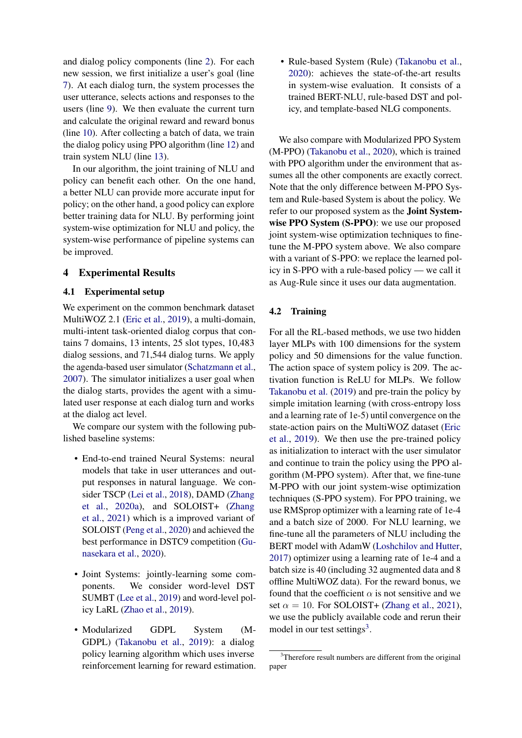and dialog policy components (line [2\)](#page-4-1). For each new session, we first initialize a user's goal (line [7\)](#page-4-1). At each dialog turn, the system processes the user utterance, selects actions and responses to the users (line [9\)](#page-4-1). We then evaluate the current turn and calculate the original reward and reward bonus (line [10\)](#page-4-1). After collecting a batch of data, we train the dialog policy using PPO algorithm (line [12\)](#page-4-1) and train system NLU (line [13\)](#page-4-1).

In our algorithm, the joint training of NLU and policy can benefit each other. On the one hand, a better NLU can provide more accurate input for policy; on the other hand, a good policy can explore better training data for NLU. By performing joint system-wise optimization for NLU and policy, the system-wise performance of pipeline systems can be improved.

# 4 Experimental Results

## 4.1 Experimental setup

We experiment on the common benchmark dataset MultiWOZ 2.1 [\(Eric et al.,](#page-8-11) [2019\)](#page-8-11), a multi-domain, multi-intent task-oriented dialog corpus that contains 7 domains, 13 intents, 25 slot types, 10,483 dialog sessions, and 71,544 dialog turns. We apply the agenda-based user simulator [\(Schatzmann et al.,](#page-9-11) [2007\)](#page-9-11). The simulator initializes a user goal when the dialog starts, provides the agent with a simulated user response at each dialog turn and works at the dialog act level.

We compare our system with the following published baseline systems:

- End-to-end trained Neural Systems: neural models that take in user utterances and output responses in natural language. We consider TSCP [\(Lei et al.,](#page-8-8) [2018\)](#page-8-8), DAMD [\(Zhang](#page-9-9) [et al.,](#page-9-9) [2020a\)](#page-9-9), and SOLOIST+ [\(Zhang](#page-9-20) [et al.,](#page-9-20) [2021\)](#page-9-20) which is a improved variant of SOLOIST [\(Peng et al.,](#page-9-10) [2020\)](#page-9-10) and achieved the best performance in DSTC9 competition [\(Gu](#page-8-0)[nasekara et al.,](#page-8-0) [2020\)](#page-8-0).
- Joint Systems: jointly-learning some components. We consider word-level DST SUMBT [\(Lee et al.,](#page-8-10) [2019\)](#page-8-10) and word-level policy LaRL [\(Zhao et al.,](#page-10-0) [2019\)](#page-10-0).
- Modularized GDPL System (M-GDPL) [\(Takanobu et al.,](#page-9-7) [2019\)](#page-9-7): a dialog policy learning algorithm which uses inverse reinforcement learning for reward estimation.

• Rule-based System (Rule) [\(Takanobu et al.,](#page-9-0) [2020\)](#page-9-0): achieves the state-of-the-art results in system-wise evaluation. It consists of a trained BERT-NLU, rule-based DST and policy, and template-based NLG components.

We also compare with Modularized PPO System (M-PPO) [\(Takanobu et al.,](#page-9-0) [2020\)](#page-9-0), which is trained with PPO algorithm under the environment that assumes all the other components are exactly correct. Note that the only difference between M-PPO System and Rule-based System is about the policy. We refer to our proposed system as the Joint Systemwise PPO System (S-PPO): we use our proposed joint system-wise optimization techniques to finetune the M-PPO system above. We also compare with a variant of S-PPO: we replace the learned policy in S-PPO with a rule-based policy — we call it as Aug-Rule since it uses our data augmentation.

# 4.2 Training

For all the RL-based methods, we use two hidden layer MLPs with 100 dimensions for the system policy and 50 dimensions for the value function. The action space of system policy is 209. The activation function is ReLU for MLPs. We follow [Takanobu et al.](#page-9-7) [\(2019\)](#page-9-7) and pre-train the policy by simple imitation learning (with cross-entropy loss and a learning rate of 1e-5) until convergence on the state-action pairs on the MultiWOZ dataset [\(Eric](#page-8-11) [et al.,](#page-8-11) [2019\)](#page-8-11). We then use the pre-trained policy as initialization to interact with the user simulator and continue to train the policy using the PPO algorithm (M-PPO system). After that, we fine-tune M-PPO with our joint system-wise optimization techniques (S-PPO system). For PPO training, we use RMSprop optimizer with a learning rate of 1e-4 and a batch size of 2000. For NLU learning, we fine-tune all the parameters of NLU including the BERT model with AdamW [\(Loshchilov and Hutter,](#page-9-22) [2017\)](#page-9-22) optimizer using a learning rate of 1e-4 and a batch size is 40 (including 32 augmented data and 8 offline MultiWOZ data). For the reward bonus, we found that the coefficient  $\alpha$  is not sensitive and we set  $\alpha = 10$ . For SOLOIST+ [\(Zhang et al.,](#page-9-20) [2021\)](#page-9-20), we use the publicly available code and rerun their model in our test settings<sup>[3](#page-5-0)</sup>.

<span id="page-5-0"></span><sup>&</sup>lt;sup>3</sup>Therefore result numbers are different from the original paper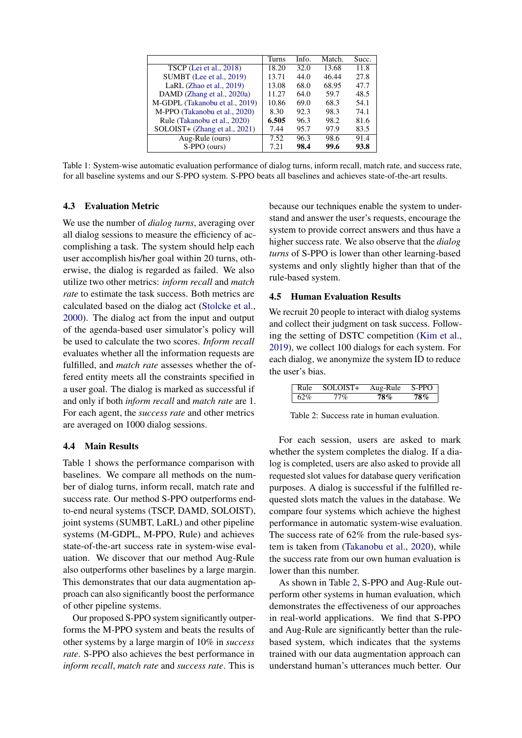<span id="page-6-0"></span>

|                                | Turns | Info. | Match. | Succ. |
|--------------------------------|-------|-------|--------|-------|
| <b>TSCP</b> (Lei et al., 2018) | 18.20 | 32.0  | 13.68  | 11.8  |
| SUMBT (Lee et al., 2019)       | 13.71 | 44.0  | 46.44  | 27.8  |
| LaRL $(Zhao et al., 2019)$     | 13.08 | 68.0  | 68.95  | 47.7  |
| DAMD (Zhang et al., 2020a)     | 11.27 | 64.0  | 59.7   | 48.5  |
| M-GDPL (Takanobu et al., 2019) | 10.86 | 69.0  | 68.3   | 54.1  |
| M-PPO (Takanobu et al., 2020)  | 8.30  | 92.3  | 98.3   | 74.1  |
| Rule (Takanobu et al., 2020)   | 6.505 | 96.3  | 98.2   | 81.6  |
| SOLOIST+ (Zhang et al., 2021)  | 7.44  | 95.7  | 97.9   | 83.5  |
| Aug-Rule (ours)                | 7.52  | 96.3  | 98.6   | 91.4  |
| S-PPO (ours)                   | 7.21  | 98.4  | 99.6   | 93.8  |

Table 1: System-wise automatic evaluation performance of dialog turns, inform recall, match rate, and success rate, for all baseline systems and our S-PPO system. S-PPO beats all baselines and achieves state-of-the-art results.

# 4.3 Evaluation Metric

We use the number of *dialog turns*, averaging over all dialog sessions to measure the efficiency of accomplishing a task. The system should help each user accomplish his/her goal within 20 turns, otherwise, the dialog is regarded as failed. We also utilize two other metrics: *inform recall* and *match rate* to estimate the task success. Both metrics are calculated based on the dialog act [\(Stolcke et al.,](#page-9-1) [2000\)](#page-9-1). The dialog act from the input and output of the agenda-based user simulator's policy will be used to calculate the two scores. *Inform recall* evaluates whether all the information requests are fulfilled, and *match rate* assesses whether the offered entity meets all the constraints specified in a user goal. The dialog is marked as successful if and only if both *inform recall* and *match rate* are 1. For each agent, the *success rate* and other metrics are averaged on 1000 dialog sessions.

#### 4.4 Main Results

Table [1](#page-6-0) shows the performance comparison with baselines. We compare all methods on the number of dialog turns, inform recall, match rate and success rate. Our method S-PPO outperforms endto-end neural systems (TSCP, DAMD, SOLOIST), joint systems (SUMBT, LaRL) and other pipeline systems (M-GDPL, M-PPO, Rule) and achieves state-of-the-art success rate in system-wise evaluation. We discover that our method Aug-Rule also outperforms other baselines by a large margin. This demonstrates that our data augmentation approach can also significantly boost the performance of other pipeline systems.

Our proposed S-PPO system significantly outperforms the M-PPO system and beats the results of other systems by a large margin of 10% in *success rate*. S-PPO also achieves the best performance in *inform recall*, *match rate* and *success rate*. This is

because our techniques enable the system to understand and answer the user's requests, encourage the system to provide correct answers and thus have a higher success rate. We also observe that the *dialog turns* of S-PPO is lower than other learning-based systems and only slightly higher than that of the rule-based system.

# 4.5 Human Evaluation Results

We recruit 20 people to interact with dialog systems and collect their judgment on task success. Following the setting of DSTC competition [\(Kim et al.,](#page-8-19) [2019\)](#page-8-19), we collect 100 dialogs for each system. For each dialog, we anonymize the system ID to reduce the user's bias.

<span id="page-6-1"></span>

| Rule | SOLOIST+ | Aug-Rule | S-PPO |
|------|----------|----------|-------|
| 62%  | 77%      | 78%      | 78%   |

Table 2: Success rate in human evaluation.

For each session, users are asked to mark whether the system completes the dialog. If a dialog is completed, users are also asked to provide all requested slot values for database query verification purposes. A dialog is successful if the fulfilled requested slots match the values in the database. We compare four systems which achieve the highest performance in automatic system-wise evaluation. The success rate of 62% from the rule-based system is taken from [\(Takanobu et al.,](#page-9-0) [2020\)](#page-9-0), while the success rate from our own human evaluation is lower than this number.

As shown in Table [2,](#page-6-1) S-PPO and Aug-Rule outperform other systems in human evaluation, which demonstrates the effectiveness of our approaches in real-world applications. We find that S-PPO and Aug-Rule are significantly better than the rulebased system, which indicates that the systems trained with our data augmentation approach can understand human's utterances much better. Our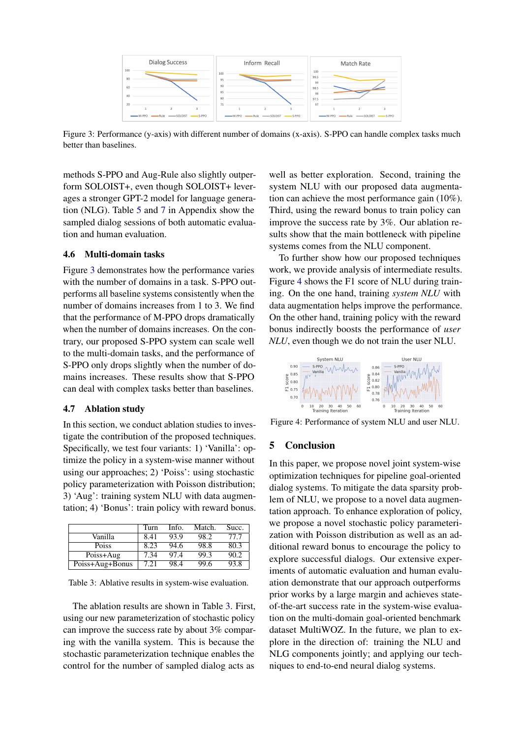<span id="page-7-0"></span>

Figure 3: Performance (y-axis) with different number of domains (x-axis). S-PPO can handle complex tasks much better than baselines.

methods S-PPO and Aug-Rule also slightly outperform SOLOIST+, even though SOLOIST+ leverages a stronger GPT-2 model for language generation (NLG). Table [5](#page-11-0) and [7](#page-12-0) in Appendix show the sampled dialog sessions of both automatic evaluation and human evaluation.

### 4.6 Multi-domain tasks

Figure [3](#page-7-0) demonstrates how the performance varies with the number of domains in a task. S-PPO outperforms all baseline systems consistently when the number of domains increases from 1 to 3. We find that the performance of M-PPO drops dramatically when the number of domains increases. On the contrary, our proposed S-PPO system can scale well to the multi-domain tasks, and the performance of S-PPO only drops slightly when the number of domains increases. These results show that S-PPO can deal with complex tasks better than baselines.

# 4.7 Ablation study

In this section, we conduct ablation studies to investigate the contribution of the proposed techniques. Specifically, we test four variants: 1) 'Vanilla': optimize the policy in a system-wise manner without using our approaches; 2) 'Poiss': using stochastic policy parameterization with Poisson distribution; 3) 'Aug': training system NLU with data augmentation; 4) 'Bonus': train policy with reward bonus.

<span id="page-7-1"></span>

|                 | Turn | Info. | Match. | Succ. |
|-----------------|------|-------|--------|-------|
| Vanilla         | 8.41 | 93.9  | 98.2   | 77.7  |
| <b>Poiss</b>    | 8.23 | 94.6  | 98.8   | 80.3  |
| Poiss+Aug       | 7.34 | 97.4  | 99.3   | 90.2  |
| Poiss+Aug+Bonus | 7.21 | 98.4  | 99.6   | 93.8  |

Table 3: Ablative results in system-wise evaluation.

The ablation results are shown in Table [3.](#page-7-1) First, using our new parameterization of stochastic policy can improve the success rate by about 3% comparing with the vanilla system. This is because the stochastic parameterization technique enables the control for the number of sampled dialog acts as well as better exploration. Second, training the system NLU with our proposed data augmentation can achieve the most performance gain (10%). Third, using the reward bonus to train policy can improve the success rate by 3%. Our ablation results show that the main bottleneck with pipeline systems comes from the NLU component.

To further show how our proposed techniques work, we provide analysis of intermediate results. Figure [4](#page-7-2) shows the F1 score of NLU during training. On the one hand, training *system NLU* with data augmentation helps improve the performance. On the other hand, training policy with the reward bonus indirectly boosts the performance of *user NLU*, even though we do not train the user NLU.

<span id="page-7-2"></span>

Figure 4: Performance of system NLU and user NLU.

## 5 Conclusion

In this paper, we propose novel joint system-wise optimization techniques for pipeline goal-oriented dialog systems. To mitigate the data sparsity problem of NLU, we propose to a novel data augmentation approach. To enhance exploration of policy, we propose a novel stochastic policy parameterization with Poisson distribution as well as an additional reward bonus to encourage the policy to explore successful dialogs. Our extensive experiments of automatic evaluation and human evaluation demonstrate that our approach outperforms prior works by a large margin and achieves stateof-the-art success rate in the system-wise evaluation on the multi-domain goal-oriented benchmark dataset MultiWOZ. In the future, we plan to explore in the direction of: training the NLU and NLG components jointly; and applying our techniques to end-to-end neural dialog systems.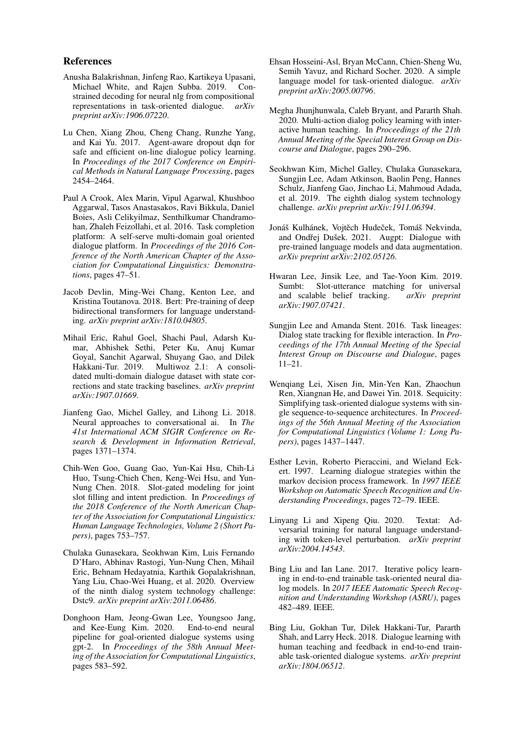#### References

- <span id="page-8-7"></span>Anusha Balakrishnan, Jinfeng Rao, Kartikeya Upasani, Michael White, and Rajen Subba. 2019. Constrained decoding for neural nlg from compositional representations in task-oriented dialogue. *arXiv preprint arXiv:1906.07220*.
- <span id="page-8-15"></span>Lu Chen, Xiang Zhou, Cheng Chang, Runzhe Yang, and Kai Yu. 2017. Agent-aware dropout dqn for safe and efficient on-line dialogue policy learning. In *Proceedings of the 2017 Conference on Empirical Methods in Natural Language Processing*, pages 2454–2464.
- <span id="page-8-2"></span>Paul A Crook, Alex Marin, Vipul Agarwal, Khushboo Aggarwal, Tasos Anastasakos, Ravi Bikkula, Daniel Boies, Asli Celikyilmaz, Senthilkumar Chandramohan, Zhaleh Feizollahi, et al. 2016. Task completion platform: A self-serve multi-domain goal oriented dialogue platform. In *Proceedings of the 2016 Conference of the North American Chapter of the Association for Computational Linguistics: Demonstrations*, pages 47–51.
- <span id="page-8-5"></span>Jacob Devlin, Ming-Wei Chang, Kenton Lee, and Kristina Toutanova. 2018. Bert: Pre-training of deep bidirectional transformers for language understanding. *arXiv preprint arXiv:1810.04805*.
- <span id="page-8-11"></span>Mihail Eric, Rahul Goel, Shachi Paul, Adarsh Kumar, Abhishek Sethi, Peter Ku, Anuj Kumar Goyal, Sanchit Agarwal, Shuyang Gao, and Dilek Multiwoz 2.1: A consolidated multi-domain dialogue dataset with state corrections and state tracking baselines. *arXiv preprint arXiv:1907.01669*.
- <span id="page-8-3"></span>Jianfeng Gao, Michel Galley, and Lihong Li. 2018. Neural approaches to conversational ai. In *The 41st International ACM SIGIR Conference on Research & Development in Information Retrieval*, pages 1371–1374.
- <span id="page-8-4"></span>Chih-Wen Goo, Guang Gao, Yun-Kai Hsu, Chih-Li Huo, Tsung-Chieh Chen, Keng-Wei Hsu, and Yun-Nung Chen. 2018. Slot-gated modeling for joint slot filling and intent prediction. In *Proceedings of the 2018 Conference of the North American Chapter of the Association for Computational Linguistics: Human Language Technologies, Volume 2 (Short Papers)*, pages 753–757.
- <span id="page-8-0"></span>Chulaka Gunasekara, Seokhwan Kim, Luis Fernando D'Haro, Abhinav Rastogi, Yun-Nung Chen, Mihail Eric, Behnam Hedayatnia, Karthik Gopalakrishnan, Yang Liu, Chao-Wei Huang, et al. 2020. Overview of the ninth dialog system technology challenge: Dstc9. *arXiv preprint arXiv:2011.06486*.
- <span id="page-8-9"></span>Donghoon Ham, Jeong-Gwan Lee, Youngsoo Jang, and Kee-Eung Kim. 2020. End-to-end neural pipeline for goal-oriented dialogue systems using gpt-2. In *Proceedings of the 58th Annual Meeting of the Association for Computational Linguistics*, pages 583–592.
- <span id="page-8-17"></span>Ehsan Hosseini-Asl, Bryan McCann, Chien-Sheng Wu, Semih Yavuz, and Richard Socher. 2020. A simple language model for task-oriented dialogue. *arXiv preprint arXiv:2005.00796*.
- <span id="page-8-16"></span>Megha Jhunjhunwala, Caleb Bryant, and Pararth Shah. 2020. Multi-action dialog policy learning with interactive human teaching. In *Proceedings of the 21th Annual Meeting of the Special Interest Group on Discourse and Dialogue*, pages 290–296.
- <span id="page-8-19"></span>Seokhwan Kim, Michel Galley, Chulaka Gunasekara, Sungjin Lee, Adam Atkinson, Baolin Peng, Hannes Schulz, Jianfeng Gao, Jinchao Li, Mahmoud Adada, et al. 2019. The eighth dialog system technology challenge. *arXiv preprint arXiv:1911.06394*.
- <span id="page-8-18"></span>Jonáš Kulhánek, Vojtěch Hudeček, Tomáš Nekvinda, and Ondřej Dušek. 2021. Augpt: Dialogue with pre-trained language models and data augmentation. *arXiv preprint arXiv:2102.05126*.
- <span id="page-8-10"></span>Hwaran Lee, Jinsik Lee, and Tae-Yoon Kim. 2019. Sumbt: Slot-utterance matching for universal and scalable belief tracking.  $arXiv$  preprint and scalable belief tracking. *arXiv:1907.07421*.
- <span id="page-8-6"></span>Sungjin Lee and Amanda Stent. 2016. Task lineages: Dialog state tracking for flexible interaction. In *Proceedings of the 17th Annual Meeting of the Special Interest Group on Discourse and Dialogue*, pages 11–21.
- <span id="page-8-8"></span>Wenqiang Lei, Xisen Jin, Min-Yen Kan, Zhaochun Ren, Xiangnan He, and Dawei Yin. 2018. Sequicity: Simplifying task-oriented dialogue systems with single sequence-to-sequence architectures. In *Proceedings of the 56th Annual Meeting of the Association for Computational Linguistics (Volume 1: Long Papers)*, pages 1437–1447.
- <span id="page-8-1"></span>Esther Levin, Roberto Pieraccini, and Wieland Eckert. 1997. Learning dialogue strategies within the markov decision process framework. In *1997 IEEE Workshop on Automatic Speech Recognition and Understanding Proceedings*, pages 72–79. IEEE.
- <span id="page-8-13"></span>Linyang Li and Xipeng Qiu. 2020. Textat: Adversarial training for natural language understanding with token-level perturbation. *arXiv preprint arXiv:2004.14543*.
- <span id="page-8-14"></span>Bing Liu and Ian Lane. 2017. Iterative policy learning in end-to-end trainable task-oriented neural dialog models. In *2017 IEEE Automatic Speech Recognition and Understanding Workshop (ASRU)*, pages 482–489. IEEE.
- <span id="page-8-12"></span>Bing Liu, Gokhan Tur, Dilek Hakkani-Tur, Pararth Shah, and Larry Heck. 2018. Dialogue learning with human teaching and feedback in end-to-end trainable task-oriented dialogue systems. *arXiv preprint arXiv:1804.06512*.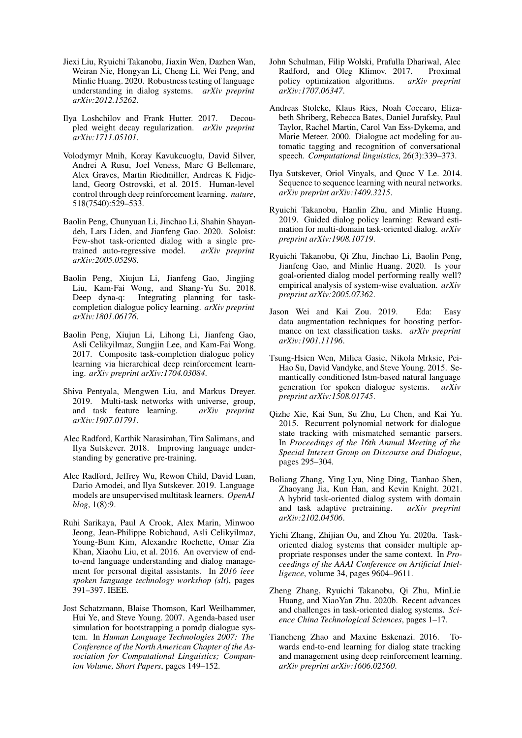- <span id="page-9-13"></span>Jiexi Liu, Ryuichi Takanobu, Jiaxin Wen, Dazhen Wan, Weiran Nie, Hongyan Li, Cheng Li, Wei Peng, and Minlie Huang. 2020. Robustness testing of language understanding in dialog systems. *arXiv preprint arXiv:2012.15262*.
- <span id="page-9-22"></span>Ilya Loshchilov and Frank Hutter. 2017. Decoupled weight decay regularization. *arXiv preprint arXiv:1711.05101*.
- <span id="page-9-17"></span>Volodymyr Mnih, Koray Kavukcuoglu, David Silver, Andrei A Rusu, Joel Veness, Marc G Bellemare, Alex Graves, Martin Riedmiller, Andreas K Fidjeland, Georg Ostrovski, et al. 2015. Human-level control through deep reinforcement learning. *nature*, 518(7540):529–533.
- <span id="page-9-10"></span>Baolin Peng, Chunyuan Li, Jinchao Li, Shahin Shayandeh, Lars Liden, and Jianfeng Gao. 2020. Soloist: Few-shot task-oriented dialog with a single pretrained auto-regressive model. *arXiv preprint arXiv:2005.05298*.
- <span id="page-9-16"></span>Baolin Peng, Xiujun Li, Jianfeng Gao, Jingjing Liu, Kam-Fai Wong, and Shang-Yu Su. 2018. Deep dyna-q: Integrating planning for taskcompletion dialogue policy learning. *arXiv preprint arXiv:1801.06176*.
- <span id="page-9-6"></span>Baolin Peng, Xiujun Li, Lihong Li, Jianfeng Gao, Asli Celikyilmaz, Sungjin Lee, and Kam-Fai Wong. 2017. Composite task-completion dialogue policy learning via hierarchical deep reinforcement learning. *arXiv preprint arXiv:1704.03084*.
- <span id="page-9-4"></span>Shiva Pentyala, Mengwen Liu, and Markus Dreyer. 2019. Multi-task networks with universe, group, and task feature learning. *arXiv preprint arXiv:1907.01791*.
- <span id="page-9-12"></span>Alec Radford, Karthik Narasimhan, Tim Salimans, and Ilya Sutskever. 2018. Improving language understanding by generative pre-training.
- <span id="page-9-19"></span>Alec Radford, Jeffrey Wu, Rewon Child, David Luan, Dario Amodei, and Ilya Sutskever. 2019. Language models are unsupervised multitask learners. *OpenAI blog*, 1(8):9.
- <span id="page-9-2"></span>Ruhi Sarikaya, Paul A Crook, Alex Marin, Minwoo Jeong, Jean-Philippe Robichaud, Asli Celikyilmaz, Young-Bum Kim, Alexandre Rochette, Omar Zia Khan, Xiaohu Liu, et al. 2016. An overview of endto-end language understanding and dialog management for personal digital assistants. In *2016 ieee spoken language technology workshop (slt)*, pages 391–397. IEEE.
- <span id="page-9-11"></span>Jost Schatzmann, Blaise Thomson, Karl Weilhammer, Hui Ye, and Steve Young. 2007. Agenda-based user simulation for bootstrapping a pomdp dialogue system. In *Human Language Technologies 2007: The Conference of the North American Chapter of the Association for Computational Linguistics; Companion Volume, Short Papers*, pages 149–152.
- <span id="page-9-21"></span>John Schulman, Filip Wolski, Prafulla Dhariwal, Alec Radford, and Oleg Klimov. 2017. Proximal policy optimization algorithms. *arXiv preprint arXiv:1707.06347*.
- <span id="page-9-1"></span>Andreas Stolcke, Klaus Ries, Noah Coccaro, Elizabeth Shriberg, Rebecca Bates, Daniel Jurafsky, Paul Taylor, Rachel Martin, Carol Van Ess-Dykema, and Marie Meteer. 2000. Dialogue act modeling for automatic tagging and recognition of conversational speech. *Computational linguistics*, 26(3):339–373.
- <span id="page-9-18"></span>Ilya Sutskever, Oriol Vinyals, and Quoc V Le. 2014. Sequence to sequence learning with neural networks. *arXiv preprint arXiv:1409.3215*.
- <span id="page-9-7"></span>Ryuichi Takanobu, Hanlin Zhu, and Minlie Huang. 2019. Guided dialog policy learning: Reward estimation for multi-domain task-oriented dialog. *arXiv preprint arXiv:1908.10719*.
- <span id="page-9-0"></span>Ryuichi Takanobu, Qi Zhu, Jinchao Li, Baolin Peng, Jianfeng Gao, and Minlie Huang. 2020. Is your goal-oriented dialog model performing really well? empirical analysis of system-wise evaluation. *arXiv preprint arXiv:2005.07362*.
- <span id="page-9-14"></span>Jason Wei and Kai Zou. 2019. Eda: Easy data augmentation techniques for boosting performance on text classification tasks. *arXiv preprint arXiv:1901.11196*.
- <span id="page-9-8"></span>Tsung-Hsien Wen, Milica Gasic, Nikola Mrksic, Pei-Hao Su, David Vandyke, and Steve Young. 2015. Semantically conditioned lstm-based natural language generation for spoken dialogue systems. *arXiv preprint arXiv:1508.01745*.
- <span id="page-9-5"></span>Qizhe Xie, Kai Sun, Su Zhu, Lu Chen, and Kai Yu. 2015. Recurrent polynomial network for dialogue state tracking with mismatched semantic parsers. In *Proceedings of the 16th Annual Meeting of the Special Interest Group on Discourse and Dialogue*, pages 295–304.
- <span id="page-9-20"></span>Boliang Zhang, Ying Lyu, Ning Ding, Tianhao Shen, Zhaoyang Jia, Kun Han, and Kevin Knight. 2021. A hybrid task-oriented dialog system with domain and task adaptive pretraining. *arXiv preprint arXiv:2102.04506*.
- <span id="page-9-9"></span>Yichi Zhang, Zhijian Ou, and Zhou Yu. 2020a. Taskoriented dialog systems that consider multiple appropriate responses under the same context. In *Proceedings of the AAAI Conference on Artificial Intelligence*, volume 34, pages 9604–9611.
- <span id="page-9-3"></span>Zheng Zhang, Ryuichi Takanobu, Qi Zhu, MinLie Huang, and XiaoYan Zhu. 2020b. Recent advances and challenges in task-oriented dialog systems. *Science China Technological Sciences*, pages 1–17.
- <span id="page-9-15"></span>Tiancheng Zhao and Maxine Eskenazi. 2016. Towards end-to-end learning for dialog state tracking and management using deep reinforcement learning. *arXiv preprint arXiv:1606.02560*.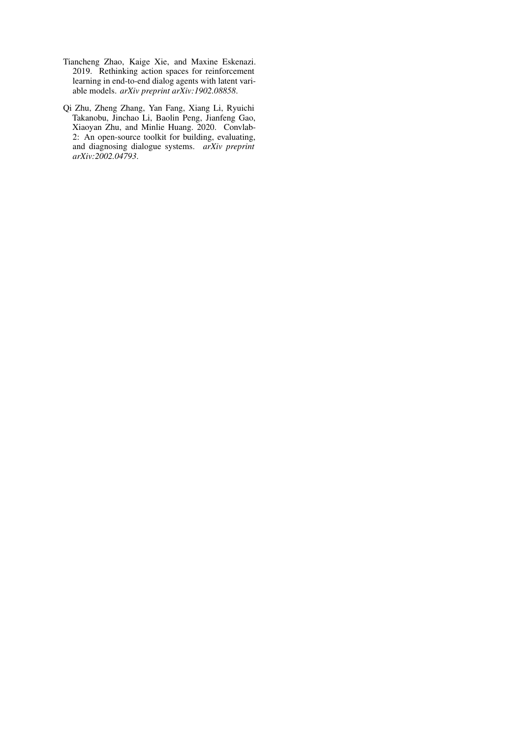- <span id="page-10-0"></span>Tiancheng Zhao, Kaige Xie, and Maxine Eskenazi. 2019. Rethinking action spaces for reinforcement learning in end-to-end dialog agents with latent variable models. *arXiv preprint arXiv:1902.08858*.
- <span id="page-10-1"></span>Qi Zhu, Zheng Zhang, Yan Fang, Xiang Li, Ryuichi Takanobu, Jinchao Li, Baolin Peng, Jianfeng Gao, Xiaoyan Zhu, and Minlie Huang. 2020. Convlab-2: An open-source toolkit for building, evaluating, and diagnosing dialogue systems. *arXiv preprint arXiv:2002.04793*.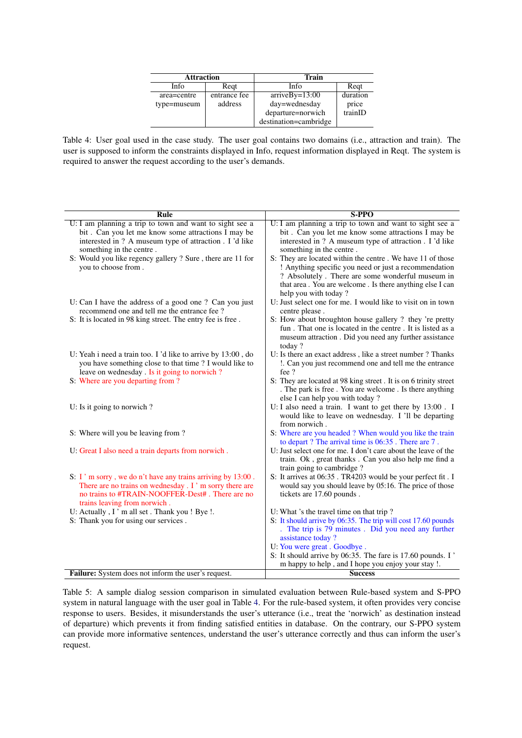| <b>Attraction</b> |              | Train                 |          |  |
|-------------------|--------------|-----------------------|----------|--|
| Info              | Regt         | Info                  | Regt     |  |
| area=centre       | entrance fee | $arriveBy=13:00$      | duration |  |
| type=museum       | address      | day=wednesday         | price    |  |
|                   |              | departure=norwich     | trainID  |  |
|                   |              | destination=cambridge |          |  |

<span id="page-11-1"></span>Table 4: User goal used in the case study. The user goal contains two domains (i.e., attraction and train). The user is supposed to inform the constraints displayed in Info, request information displayed in Reqt. The system is required to answer the request according to the user's demands.

<span id="page-11-0"></span>

| Rule                                                                                   | <b>S-PPO</b>                                                                                              |
|----------------------------------------------------------------------------------------|-----------------------------------------------------------------------------------------------------------|
| U: I am planning a trip to town and want to sight see a                                | U: I am planning a trip to town and want to sight see a                                                   |
| bit. Can you let me know some attractions I may be                                     | bit. Can you let me know some attractions I may be                                                        |
| interested in ? A museum type of attraction . I 'd like                                | interested in ? A museum type of attraction . I 'd like                                                   |
| something in the centre.<br>S: Would you like regency gallery ? Sure, there are 11 for | something in the centre.<br>S: They are located within the centre. We have 11 of those                    |
| you to choose from.                                                                    | ! Anything specific you need or just a recommendation                                                     |
|                                                                                        | ? Absolutely . There are some wonderful museum in                                                         |
|                                                                                        | that area. You are welcome. Is there anything else I can                                                  |
|                                                                                        | help you with today?                                                                                      |
| U: Can I have the address of a good one ? Can you just                                 | U: Just select one for me. I would like to visit on in town                                               |
| recommend one and tell me the entrance fee ?                                           | centre please.                                                                                            |
| S: It is located in 98 king street. The entry fee is free.                             | S: How about broughton house gallery ? they 're pretty                                                    |
|                                                                                        | fun. That one is located in the centre. It is listed as a                                                 |
|                                                                                        | museum attraction . Did you need any further assistance                                                   |
| U: Yeah i need a train too. I 'd like to arrive by 13:00, do                           | today?<br>U: Is there an exact address, like a street number? Thanks                                      |
| you have something close to that time ? I would like to                                | !. Can you just recommend one and tell me the entrance                                                    |
| leave on wednesday. Is it going to norwich?                                            | fee?                                                                                                      |
| S: Where are you departing from ?                                                      | S: They are located at 98 king street. It is on 6 trinity street                                          |
|                                                                                        | . The park is free . You are welcome . Is there anything                                                  |
|                                                                                        | else I can help you with today?                                                                           |
| U: Is it going to norwich?                                                             | U: I also need a train. I want to get there by 13:00. I                                                   |
|                                                                                        | would like to leave on wednesday. I 'll be departing                                                      |
| S: Where will you be leaving from?                                                     | from norwich.<br>S: Where are you headed ? When would you like the train                                  |
|                                                                                        | to depart? The arrival time is 06:35. There are 7.                                                        |
| U: Great I also need a train departs from norwich.                                     | U: Just select one for me. I don't care about the leave of the                                            |
|                                                                                        | train. Ok, great thanks. Can you also help me find a                                                      |
|                                                                                        | train going to cambridge?                                                                                 |
| S: I'm sorry, we do n't have any trains arriving by 13:00.                             | S: It arrives at 06:35. TR4203 would be your perfect fit. I                                               |
| There are no trains on wednesday . I'm sorry there are                                 | would say you should leave by 05:16. The price of those                                                   |
| no trains to #TRAIN-NOOFFER-Dest#. There are no                                        | tickets are 17.60 pounds.                                                                                 |
| trains leaving from norwich.                                                           |                                                                                                           |
| U: Actually, I'm all set. Thank you! Bye!.<br>S: Thank you for using our services.     | U: What 's the travel time on that trip?<br>S: It should arrive by 06:35. The trip will cost 17.60 pounds |
|                                                                                        | . The trip is 79 minutes . Did you need any further                                                       |
|                                                                                        | assistance today?                                                                                         |
|                                                                                        | U: You were great. Goodbye.                                                                               |
|                                                                                        | S: It should arrive by 06:35. The fare is 17.60 pounds. I                                                 |
|                                                                                        | m happy to help, and I hope you enjoy your stay !.                                                        |
| Failure: System does not inform the user's request.                                    | <b>Success</b>                                                                                            |

Table 5: A sample dialog session comparison in simulated evaluation between Rule-based system and S-PPO system in natural language with the user goal in Table [4.](#page-11-1) For the rule-based system, it often provides very concise response to users. Besides, it misunderstands the user's utterance (i.e., treat the 'norwich' as destination instead of departure) which prevents it from finding satisfied entities in database. On the contrary, our S-PPO system can provide more informative sentences, understand the user's utterance correctly and thus can inform the user's request.